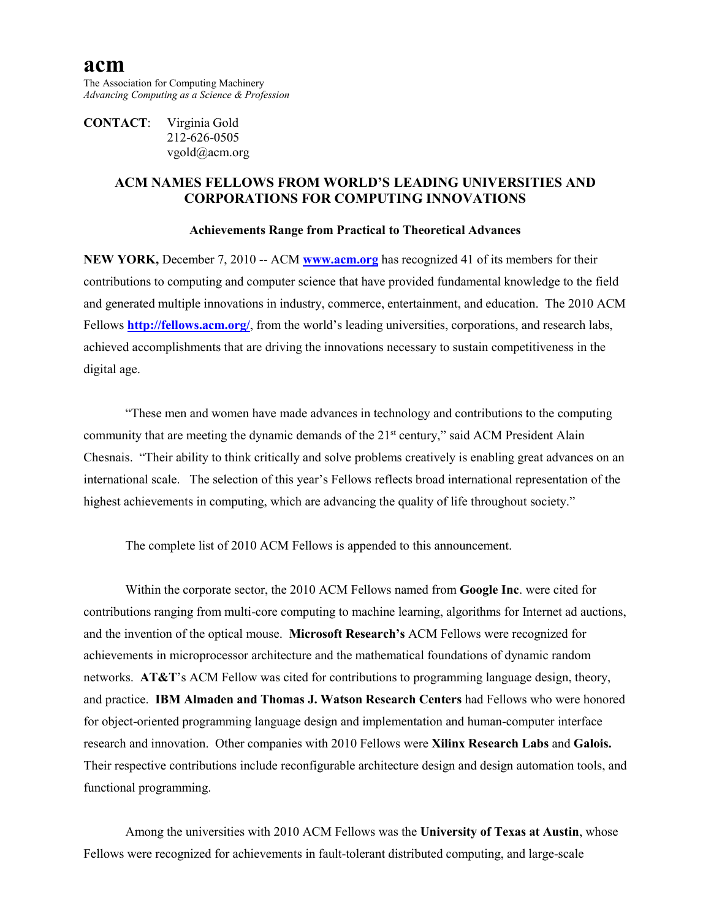# **acm**

The Association for Computing Machinery *Advancing Computing as a Science & Profession*

**CONTACT**: Virginia Gold 212-626-0505 vgold@acm.org

# **ACM NAMES FELLOWS FROM WORLD'S LEADING UNIVERSITIES AND CORPORATIONS FOR COMPUTING INNOVATIONS**

#### **Achievements Range from Practical to Theoretical Advances**

**NEW YORK,** December 7, 2010 -- ACM **[www.acm.org](http://www.acm.org/)** has recognized 41 of its members for their contributions to computing and computer science that have provided fundamental knowledge to the field and generated multiple innovations in industry, commerce, entertainment, and education. The 2010 ACM Fellows **<http://fellows.acm.org/>**, from the world's leading universities, corporations, and research labs, achieved accomplishments that are driving the innovations necessary to sustain competitiveness in the digital age.

"These men and women have made advances in technology and contributions to the computing community that are meeting the dynamic demands of the  $21<sup>st</sup>$  century," said ACM President Alain Chesnais. "Their ability to think critically and solve problems creatively is enabling great advances on an international scale. The selection of this year's Fellows reflects broad international representation of the highest achievements in computing, which are advancing the quality of life throughout society."

The complete list of 2010 ACM Fellows is appended to this announcement.

Within the corporate sector, the 2010 ACM Fellows named from **Google Inc**. were cited for contributions ranging from multi-core computing to machine learning, algorithms for Internet ad auctions, and the invention of the optical mouse. **Microsoft Research's** ACM Fellows were recognized for achievements in microprocessor architecture and the mathematical foundations of dynamic random networks. **AT&T**'s ACM Fellow was cited for contributions to programming language design, theory, and practice. **IBM Almaden and Thomas J. Watson Research Centers** had Fellows who were honored for object-oriented programming language design and implementation and human-computer interface research and innovation. Other companies with 2010 Fellows were **Xilinx Research Labs** and **Galois.**  Their respective contributions include reconfigurable architecture design and design automation tools, and functional programming.

Among the universities with 2010 ACM Fellows was the **University of Texas at Austin**, whose Fellows were recognized for achievements in fault-tolerant distributed computing, and large-scale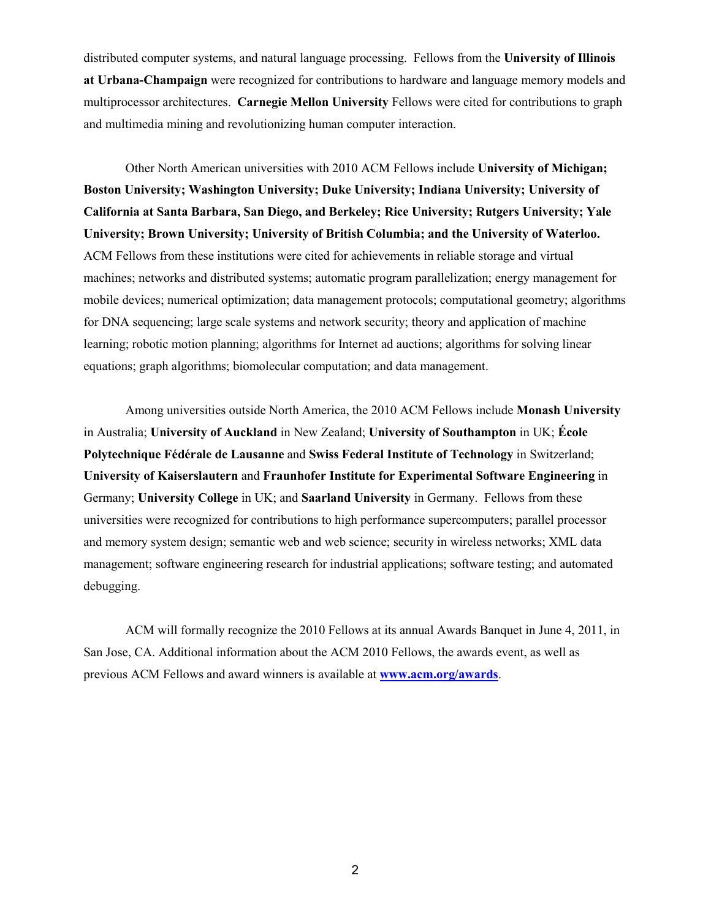distributed computer systems, and natural language processing. Fellows from the **University of Illinois at Urbana-Champaign** were recognized for contributions to hardware and language memory models and multiprocessor architectures. **Carnegie Mellon University** Fellows were cited for contributions to graph and multimedia mining and revolutionizing human computer interaction.

Other North American universities with 2010 ACM Fellows include **University of Michigan; Boston University; Washington University; Duke University; Indiana University; University of California at Santa Barbara, San Diego, and Berkeley; Rice University; Rutgers University; Yale University; Brown University; University of British Columbia; and the University of Waterloo.**  ACM Fellows from these institutions were cited for achievements in reliable storage and virtual machines; networks and distributed systems; automatic program parallelization; energy management for mobile devices; numerical optimization; data management protocols; computational geometry; algorithms for DNA sequencing; large scale systems and network security; theory and application of machine learning; robotic motion planning; algorithms for Internet ad auctions; algorithms for solving linear equations; graph algorithms; biomolecular computation; and data management.

Among universities outside North America, the 2010 ACM Fellows include **Monash University** in Australia; **University of Auckland** in New Zealand; **University of Southampton** in UK; **École Polytechnique Fédérale de Lausanne** and **Swiss Federal Institute of Technology** in Switzerland; **University of Kaiserslautern** and **Fraunhofer Institute for Experimental Software Engineering** in Germany; **University College** in UK; and **Saarland University** in Germany. Fellows from these universities were recognized for contributions to high performance supercomputers; parallel processor and memory system design; semantic web and web science; security in wireless networks; XML data management; software engineering research for industrial applications; software testing; and automated debugging.

ACM will formally recognize the 2010 Fellows at its annual Awards Banquet in June 4, 2011, in San Jose, CA. Additional information about the ACM 2010 Fellows, the awards event, as well as previous ACM Fellows and award winners is available at **[www.acm.org/awards](http://www.acm.org/awards)**.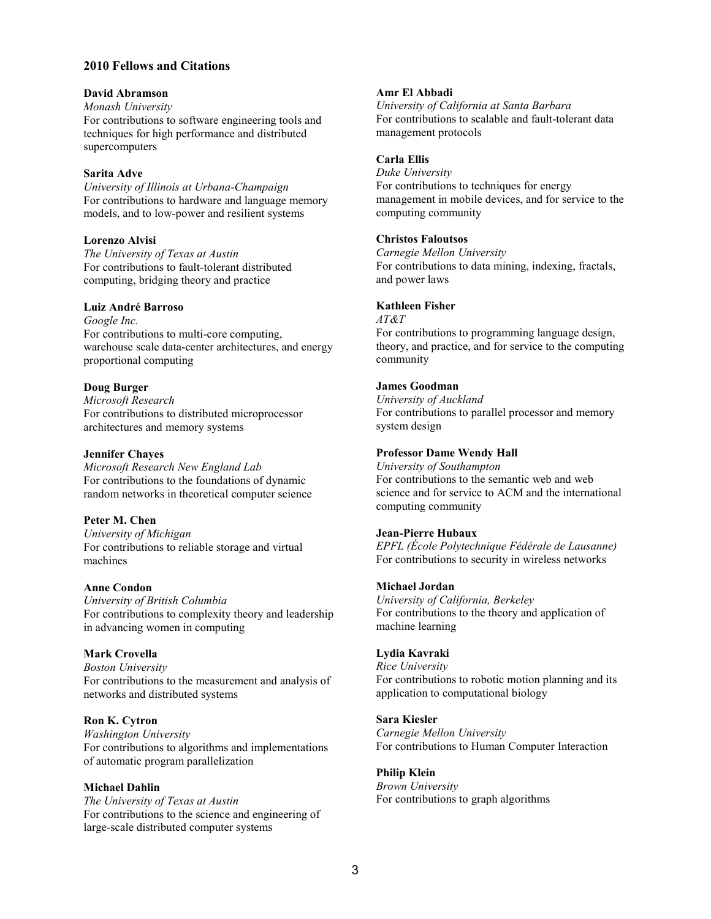# **2010 Fellows and Citations**

## **David Abramson**

*Monash University* For contributions to software engineering tools and techniques for high performance and distributed supercomputers

### **Sarita Adve**

*University of Illinois at Urbana-Champaign* For contributions to hardware and language memory models, and to low-power and resilient systems

### **Lorenzo Alvisi**

*The University of Texas at Austin* For contributions to fault-tolerant distributed computing, bridging theory and practice

#### **Luiz André Barroso**

*Google Inc.* For contributions to multi-core computing, warehouse scale data-center architectures, and energy proportional computing

# **Doug Burger**

*Microsoft Research* For contributions to distributed microprocessor architectures and memory systems

### **Jennifer Chayes**

*Microsoft Research New England Lab* For contributions to the foundations of dynamic random networks in theoretical computer science

# **Peter M. Chen**

*University of Michigan* For contributions to reliable storage and virtual machines

# **Anne Condon**

*University of British Columbia* For contributions to complexity theory and leadership in advancing women in computing

# **Mark Crovella**

*Boston University* For contributions to the measurement and analysis of networks and distributed systems

# **Ron K. Cytron**

*Washington University* For contributions to algorithms and implementations of automatic program parallelization

# **Michael Dahlin**

*The University of Texas at Austin* For contributions to the science and engineering of large-scale distributed computer systems

### **Amr El Abbadi**

*University of California at Santa Barbara* For contributions to scalable and fault-tolerant data management protocols

## **Carla Ellis**

*Duke University* For contributions to techniques for energy management in mobile devices, and for service to the computing community

### **Christos Faloutsos**

*Carnegie Mellon University* For contributions to data mining, indexing, fractals, and power laws

# **Kathleen Fisher**

*AT&T* For contributions to programming language design, theory, and practice, and for service to the computing community

# **James Goodman**

*University of Auckland* For contributions to parallel processor and memory system design

## **Professor Dame Wendy Hall**

*University of Southampton* For contributions to the semantic web and web science and for service to ACM and the international computing community

#### **Jean-Pierre Hubaux**

*EPFL (École Polytechnique Fédérale de Lausanne)* For contributions to security in wireless networks

#### **Michael Jordan**

*University of California, Berkeley* For contributions to the theory and application of machine learning

# **Lydia Kavraki**

*Rice University* For contributions to robotic motion planning and its application to computational biology

#### **Sara Kiesler**

*Carnegie Mellon University* For contributions to Human Computer Interaction

# **Philip Klein**

*Brown University* For contributions to graph algorithms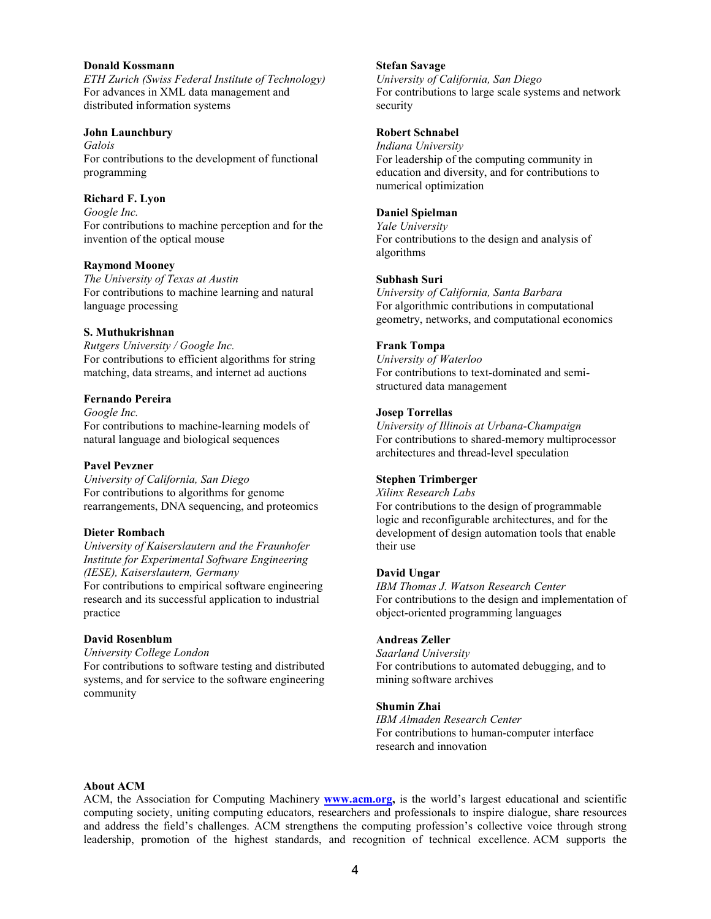#### **Donald Kossmann**

*ETH Zurich (Swiss Federal Institute of Technology)* For advances in XML data management and distributed information systems

#### **John Launchbury**

*Galois* For contributions to the development of functional programming

## **Richard F. Lyon**

*Google Inc.* For contributions to machine perception and for the invention of the optical mouse

### **Raymond Mooney**

*The University of Texas at Austin* For contributions to machine learning and natural language processing

## **S. Muthukrishnan**

*Rutgers University / Google Inc.* For contributions to efficient algorithms for string matching, data streams, and internet ad auctions

# **Fernando Pereira**

*Google Inc.* For contributions to machine-learning models of natural language and biological sequences

#### **Pavel Pevzner**

*University of California, San Diego* For contributions to algorithms for genome rearrangements, DNA sequencing, and proteomics

#### **Dieter Rombach**

*University of Kaiserslautern and the Fraunhofer Institute for Experimental Software Engineering (IESE), Kaiserslautern, Germany* For contributions to empirical software engineering research and its successful application to industrial practice

#### **David Rosenblum**

*University College London* For contributions to software testing and distributed systems, and for service to the software engineering community

#### **Stefan Savage**

*University of California, San Diego* For contributions to large scale systems and network security

# **Robert Schnabel**

*Indiana University* For leadership of the computing community in education and diversity, and for contributions to numerical optimization

# **Daniel Spielman**

*Yale University* For contributions to the design and analysis of algorithms

### **Subhash Suri**

*University of California, Santa Barbara* For algorithmic contributions in computational geometry, networks, and computational economics

# **Frank Tompa**

*University of Waterloo* For contributions to text-dominated and semistructured data management

### **Josep Torrellas**

*University of Illinois at Urbana-Champaign* For contributions to shared-memory multiprocessor architectures and thread-level speculation

# **Stephen Trimberger**

*Xilinx Research Labs* For contributions to the design of programmable logic and reconfigurable architectures, and for the development of design automation tools that enable their use

## **David Ungar**

*IBM Thomas J. Watson Research Center* For contributions to the design and implementation of object-oriented programming languages

#### **Andreas Zeller**

*Saarland University* For contributions to automated debugging, and to mining software archives

# **Shumin Zhai**

*IBM Almaden Research Center* For contributions to human-computer interface research and innovation

#### **About ACM**

ACM, the Association for Computing Machinery **[www.acm.org,](http://www.acm.org/)** is the world's largest educational and scientific computing society, uniting computing educators, researchers and professionals to inspire dialogue, share resources and address the field's challenges. ACM strengthens the computing profession's collective voice through strong leadership, promotion of the highest standards, and recognition of technical excellence. ACM supports the